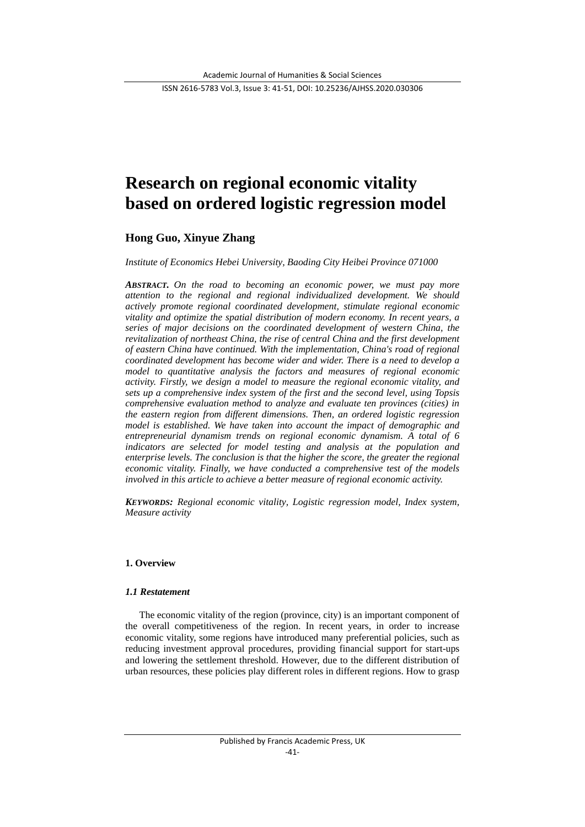# **Research on regional economic vitality based on ordered logistic regression model**

## **Hong Guo, Xinyue Zhang**

#### *Institute of Economics Hebei University, Baoding City Heibei Province 071000*

*ABSTRACT. On the road to becoming an economic power, we must pay more attention to the regional and regional individualized development. We should actively promote regional coordinated development, stimulate regional economic vitality and optimize the spatial distribution of modern economy. In recent years, a series of major decisions on the coordinated development of western China, the revitalization of northeast China, the rise of central China and the first development of eastern China have continued. With the implementation, China's road of regional coordinated development has become wider and wider. There is a need to develop a model to quantitative analysis the factors and measures of regional economic activity. Firstly, we design a model to measure the regional economic vitality, and sets up a comprehensive index system of the first and the second level, using Topsis comprehensive evaluation method to analyze and evaluate ten provinces (cities) in the eastern region from different dimensions. Then, an ordered logistic regression model is established. We have taken into account the impact of demographic and entrepreneurial dynamism trends on regional economic dynamism. A total of 6 indicators are selected for model testing and analysis at the population and enterprise levels. The conclusion is that the higher the score, the greater the regional economic vitality. Finally, we have conducted a comprehensive test of the models involved in this article to achieve a better measure of regional economic activity.*

*KEYWORDS: Regional economic vitality, Logistic regression model, Index system, Measure activity*

## **1. Overview**

#### *1.1 Restatement*

The economic vitality of the region (province, city) is an important component of the overall competitiveness of the region. In recent years, in order to increase economic vitality, some regions have introduced many preferential policies, such as reducing investment approval procedures, providing financial support for start-ups and lowering the settlement threshold. However, due to the different distribution of urban resources, these policies play different roles in different regions. How to grasp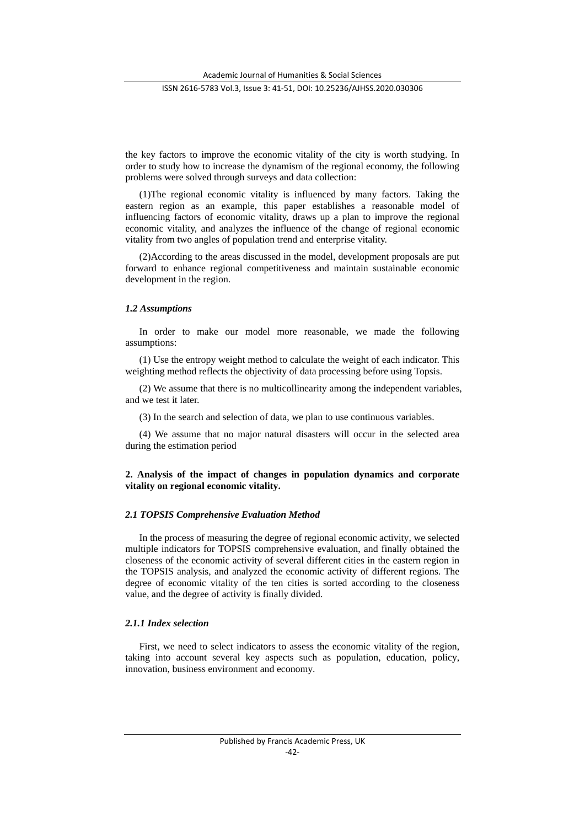Academic Journal of Humanities & Social Sciences

#### ISSN 2616-5783 Vol.3, Issue 3: 41-51, DOI: 10.25236/AJHSS.2020.030306

the key factors to improve the economic vitality of the city is worth studying. In order to study how to increase the dynamism of the regional economy, the following problems were solved through surveys and data collection:

(1)The regional economic vitality is influenced by many factors. Taking the eastern region as an example, this paper establishes a reasonable model of influencing factors of economic vitality, draws up a plan to improve the regional economic vitality, and analyzes the influence of the change of regional economic vitality from two angles of population trend and enterprise vitality.

(2)According to the areas discussed in the model, development proposals are put forward to enhance regional competitiveness and maintain sustainable economic development in the region.

#### *1.2 Assumptions*

In order to make our model more reasonable, we made the following assumptions:

(1) Use the entropy weight method to calculate the weight of each indicator. This weighting method reflects the objectivity of data processing before using Topsis.

(2) We assume that there is no multicollinearity among the independent variables, and we test it later.

(3) In the search and selection of data, we plan to use continuous variables.

(4) We assume that no major natural disasters will occur in the selected area during the estimation period

## **2. Analysis of the impact of changes in population dynamics and corporate vitality on regional economic vitality.**

#### *2.1 TOPSIS Comprehensive Evaluation Method*

In the process of measuring the degree of regional economic activity, we selected multiple indicators for TOPSIS comprehensive evaluation, and finally obtained the closeness of the economic activity of several different cities in the eastern region in the TOPSIS analysis, and analyzed the economic activity of different regions. The degree of economic vitality of the ten cities is sorted according to the closeness value, and the degree of activity is finally divided.

## *2.1.1 Index selection*

First, we need to select indicators to assess the economic vitality of the region, taking into account several key aspects such as population, education, policy, innovation, business environment and economy.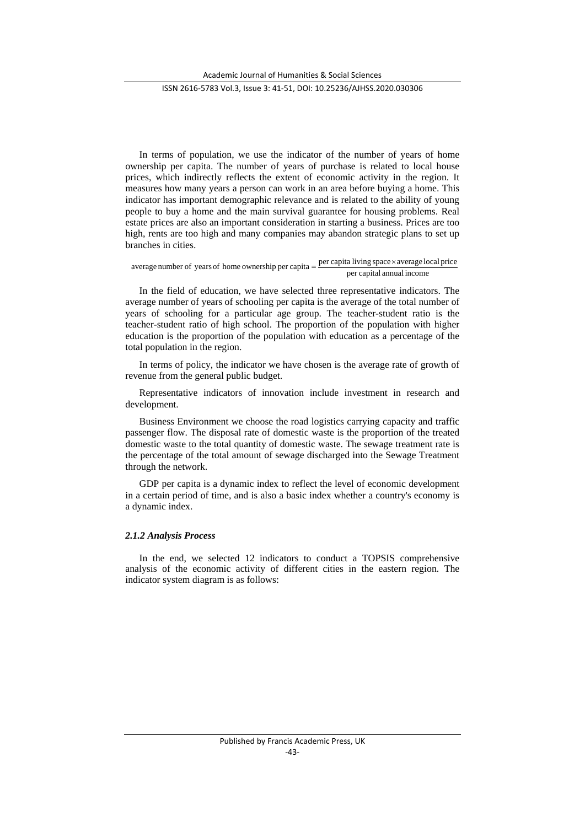In terms of population, we use the indicator of the number of years of home ownership per capita. The number of years of purchase is related to local house prices, which indirectly reflects the extent of economic activity in the region. It measures how many years a person can work in an area before buying a home. This indicator has important demographic relevance and is related to the ability of young people to buy a home and the main survival guarantee for housing problems. Real estate prices are also an important consideration in starting a business. Prices are too high, rents are too high and many companies may abandon strategic plans to set up branches in cities.

# per capital annual income average number of years of home ownership per capita  $=$   $\frac{\text{per capita living space} \times \text{average local price}}{\text{expansion}}$

In the field of education, we have selected three representative indicators. The average number of years of schooling per capita is the average of the total number of years of schooling for a particular age group. The teacher-student ratio is the teacher-student ratio of high school. The proportion of the population with higher education is the proportion of the population with education as a percentage of the total population in the region.

In terms of policy, the indicator we have chosen is the average rate of growth of revenue from the general public budget.

Representative indicators of innovation include investment in research and development.

Business Environment we choose the road logistics carrying capacity and traffic passenger flow. The disposal rate of domestic waste is the proportion of the treated domestic waste to the total quantity of domestic waste. The sewage treatment rate is the percentage of the total amount of sewage discharged into the Sewage Treatment through the network.

GDP per capita is a dynamic index to reflect the level of economic development in a certain period of time, and is also a basic index whether a country's economy is a dynamic index.

#### *2.1.2 Analysis Process*

In the end, we selected 12 indicators to conduct a TOPSIS comprehensive analysis of the economic activity of different cities in the eastern region. The indicator system diagram is as follows: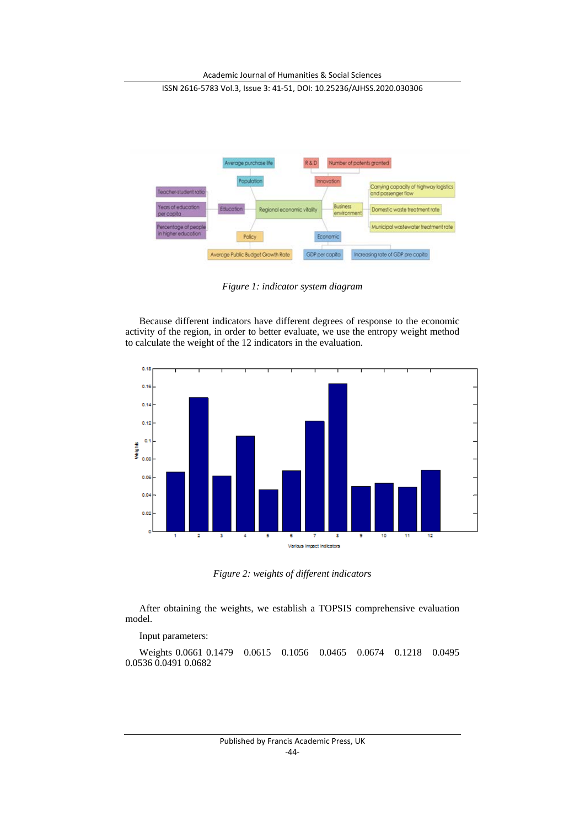

*Figure 1: indicator system diagram*

Because different indicators have different degrees of response to the economic activity of the region, in order to better evaluate, we use the entropy weight method to calculate the weight of the 12 indicators in the evaluation.



*Figure 2: weights of different indicators*

After obtaining the weights, we establish a TOPSIS comprehensive evaluation model.

Input parameters:

Weights 0.0661 0.1479 0.0615 0.1056 0.0465 0.0674 0.1218 0.0495 0.0536 0.0491 0.0682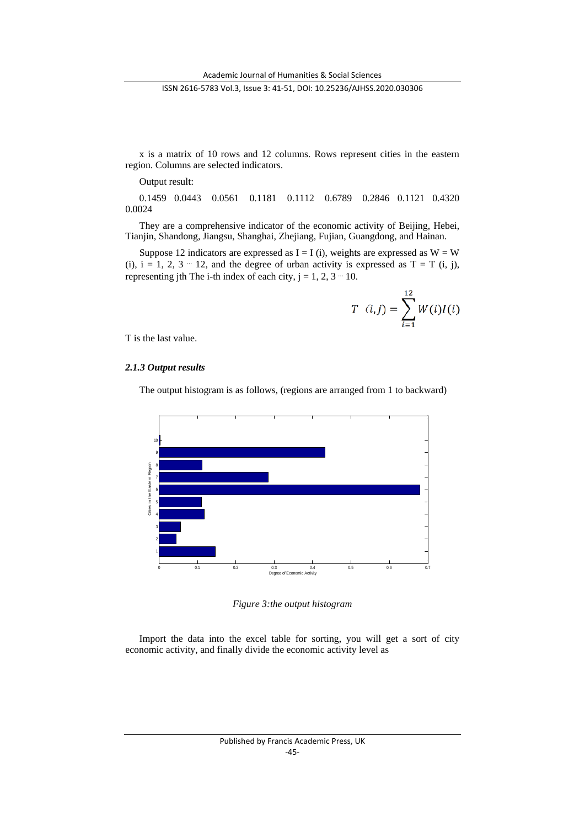x is a matrix of 10 rows and 12 columns. Rows represent cities in the eastern region. Columns are selected indicators.

Output result:

0.1459 0.0443 0.0561 0.1181 0.1112 0.6789 0.2846 0.1121 0.4320 0.0024

They are a comprehensive indicator of the economic activity of Beijing, Hebei, Tianjin, Shandong, Jiangsu, Shanghai, Zhejiang, Fujian, Guangdong, and Hainan.

Suppose 12 indicators are expressed as  $I = I(i)$ , weights are expressed as  $W = W$ (i),  $i = 1, 2, 3 - 12$ , and the degree of urban activity is expressed as  $T = T$  (i, j), representing jth The i-th index of each city,  $j = 1, 2, 3 - 10$ .

$$
T (i,j) = \sum_{i=1}^{12} W(i)I(i)
$$

T is the last value.

## *2.1.3 Output results*

The output histogram is as follows, (regions are arranged from 1 to backward)



*Figure 3:the output histogram*

Import the data into the excel table for sorting, you will get a sort of city economic activity, and finally divide the economic activity level as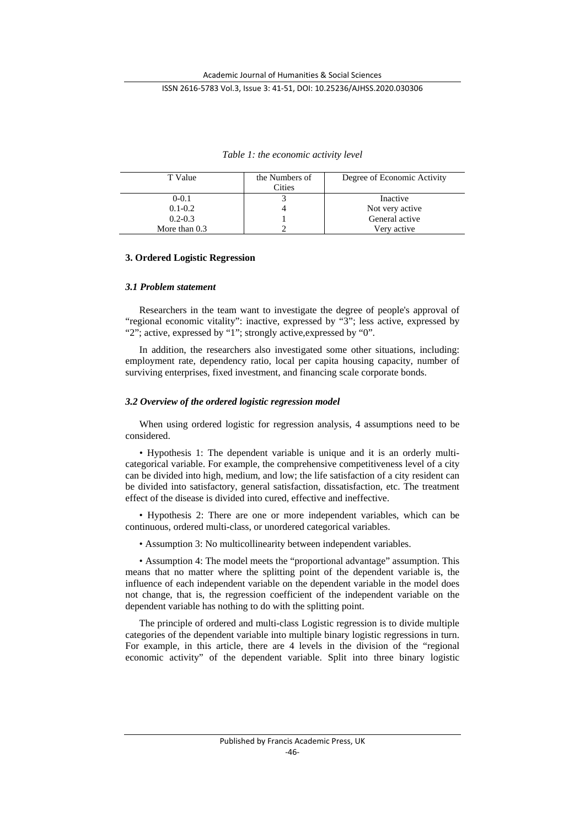| T Value         | the Numbers of<br>Cities | Degree of Economic Activity |
|-----------------|--------------------------|-----------------------------|
| $0-0.1$         |                          | Inactive                    |
| $0.1 - 0.2$     |                          | Not very active             |
| $0.2 - 0.3$     |                          | General active              |
| More than $0.3$ |                          | Verv active                 |

*Table 1: the economic activity level*

## **3. Ordered Logistic Regression**

## *3.1 Problem statement*

Researchers in the team want to investigate the degree of people's approval of "regional economic vitality": inactive, expressed by "3"; less active, expressed by "2"; active, expressed by "1"; strongly active,expressed by "0".

In addition, the researchers also investigated some other situations, including: employment rate, dependency ratio, local per capita housing capacity, number of surviving enterprises, fixed investment, and financing scale corporate bonds.

## *3.2 Overview of the ordered logistic regression model*

When using ordered logistic for regression analysis, 4 assumptions need to be considered.

• Hypothesis 1: The dependent variable is unique and it is an orderly multicategorical variable. For example, the comprehensive competitiveness level of a city can be divided into high, medium, and low; the life satisfaction of a city resident can be divided into satisfactory, general satisfaction, dissatisfaction, etc. The treatment effect of the disease is divided into cured, effective and ineffective.

• Hypothesis 2: There are one or more independent variables, which can be continuous, ordered multi-class, or unordered categorical variables.

• Assumption 3: No multicollinearity between independent variables.

• Assumption 4: The model meets the "proportional advantage" assumption. This means that no matter where the splitting point of the dependent variable is, the influence of each independent variable on the dependent variable in the model does not change, that is, the regression coefficient of the independent variable on the dependent variable has nothing to do with the splitting point.

The principle of ordered and multi-class Logistic regression is to divide multiple categories of the dependent variable into multiple binary logistic regressions in turn. For example, in this article, there are 4 levels in the division of the "regional economic activity" of the dependent variable. Split into three binary logistic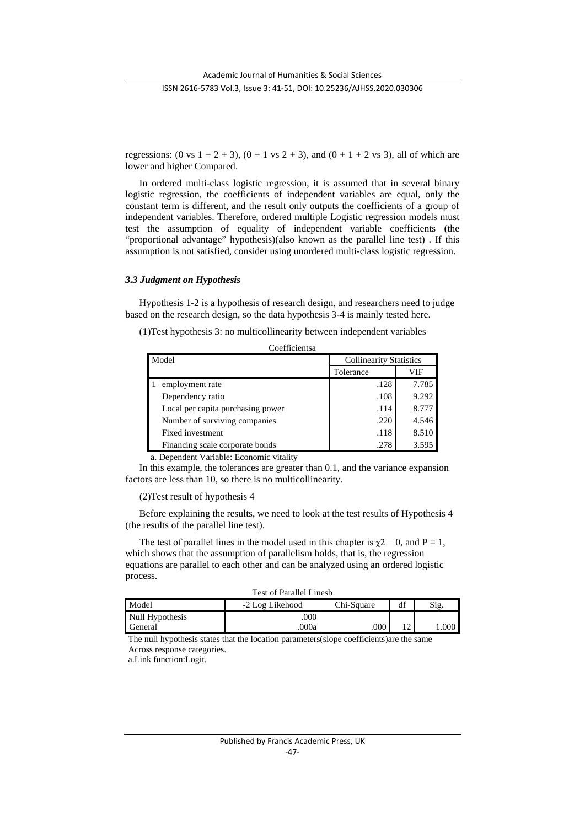regressions: (0 vs  $1 + 2 + 3$ ),  $(0 + 1 \text{ vs } 2 + 3)$ , and  $(0 + 1 + 2 \text{ vs } 3)$ , all of which are lower and higher Compared.

In ordered multi-class logistic regression, it is assumed that in several binary logistic regression, the coefficients of independent variables are equal, only the constant term is different, and the result only outputs the coefficients of a group of independent variables. Therefore, ordered multiple Logistic regression models must test the assumption of equality of independent variable coefficients (the "proportional advantage" hypothesis)(also known as the parallel line test) . If this assumption is not satisfied, consider using unordered multi-class logistic regression.

#### *3.3 Judgment on Hypothesis*

Hypothesis 1-2 is a hypothesis of research design, and researchers need to judge based on the research design, so the data hypothesis 3-4 is mainly tested here.

(1)Test hypothesis 3: no multicollinearity between independent variables  $C^{\alpha}$  contracts

| Model                             | <b>Collinearity Statistics</b> |       |
|-----------------------------------|--------------------------------|-------|
|                                   | Tolerance                      | VIF   |
| employment rate                   | .128                           | 7.785 |
| Dependency ratio                  | .108                           | 9.292 |
| Local per capita purchasing power | .114                           | 8.777 |
| Number of surviving companies     | .220                           | 4.546 |
| Fixed investment                  | .118                           | 8.510 |
| Financing scale corporate bonds   | .278                           | 3.595 |

a. Dependent Variable: Economic vitality

In this example, the tolerances are greater than 0.1, and the variance expansion factors are less than 10, so there is no multicollinearity.

#### (2)Test result of hypothesis 4

Before explaining the results, we need to look at the test results of Hypothesis 4 (the results of the parallel line test).

The test of parallel lines in the model used in this chapter is  $\chi$ 2 = 0, and P = 1, which shows that the assumption of parallelism holds, that is, the regression equations are parallel to each other and can be analyzed using an ordered logistic process.

| <b>Test of Parallel Linesb</b> |  |
|--------------------------------|--|
|--------------------------------|--|

| Model           | -2 Log Likehood | Chi-Square | df | Sig  |
|-----------------|-----------------|------------|----|------|
| Null Hypothesis | .000            |            |    |      |
| General         | 000a            | .000       |    | .000 |

The null hypothesis states that the location parameters(slope coefficients)are the same Across response categories.

a.Link function:Logit.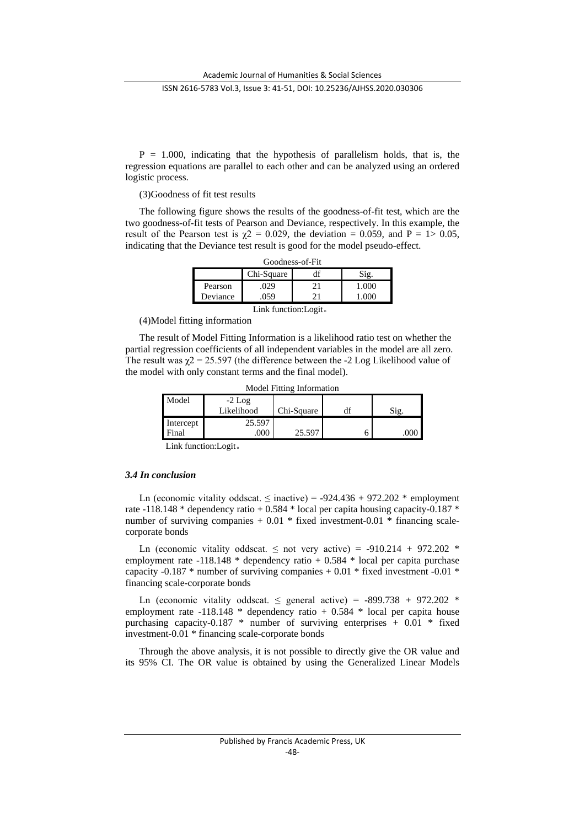$P = 1.000$ , indicating that the hypothesis of parallelism holds, that is, the regression equations are parallel to each other and can be analyzed using an ordered logistic process.

(3)Goodness of fit test results

The following figure shows the results of the goodness-of-fit test, which are the two goodness-of-fit tests of Pearson and Deviance, respectively. In this example, the result of the Pearson test is  $\chi$ <sup>2</sup> = 0.029, the deviation = 0.059, and P = 1> 0.05, indicating that the Deviance test result is good for the model pseudo-effect.

| Goodness-of-Fit |            |     |        |  |
|-----------------|------------|-----|--------|--|
|                 | Chi-Square |     |        |  |
| Pearson         | 029        | 21  | ()()() |  |
| Deviance        |            | າ 1 |        |  |

Link function:Logit。

(4)Model fitting information

The result of Model Fitting Information is a likelihood ratio test on whether the partial regression coefficients of all independent variables in the model are all zero. The result was  $\gamma$  = 25.597 (the difference between the -2 Log Likelihood value of the model with only constant terms and the final model).

| <b>NOUGLITURE INTOITMATION</b> |            |            |  |      |
|--------------------------------|------------|------------|--|------|
| Model                          | $-2$ Log   |            |  |      |
|                                | Likelihood | Chi-Square |  | Sig. |
| Intercept                      | 25.597     |            |  |      |
| Final                          | 000        | 25.597     |  | 000  |
|                                |            |            |  |      |

Model Fitting Information

Link function:Logit。

## *3.4 In conclusion*

Ln (economic vitality oddscat.  $\leq$  inactive) = -924.436 + 972.202  $*$  employment rate -118.148 \* dependency ratio + 0.584 \* local per capita housing capacity-0.187 \* number of surviving companies  $+ 0.01 *$  fixed investment-0.01  $*$  financing scalecorporate bonds

Ln (economic vitality oddscat.  $\leq$  not very active) = -910.214 + 972.202  $*$ employment rate -118.148  $*$  dependency ratio + 0.584  $*$  local per capita purchase capacity -0.187  $*$  number of surviving companies  $+$  0.01  $*$  fixed investment -0.01  $*$ financing scale-corporate bonds

Ln (economic vitality oddscat.  $\leq$  general active) = -899.738 + 972.202  $*$ employment rate -118.148  $*$  dependency ratio + 0.584  $*$  local per capita house purchasing capacity-0.187  $*$  number of surviving enterprises  $+$  0.01  $*$  fixed investment-0.01 \* financing scale-corporate bonds

Through the above analysis, it is not possible to directly give the OR value and its 95% CI. The OR value is obtained by using the Generalized Linear Models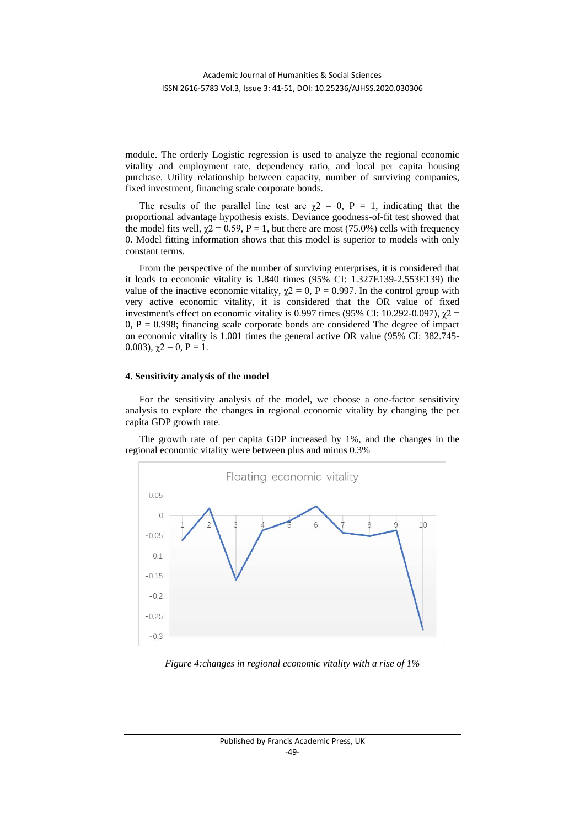module. The orderly Logistic regression is used to analyze the regional economic vitality and employment rate, dependency ratio, and local per capita housing purchase. Utility relationship between capacity, number of surviving companies, fixed investment, financing scale corporate bonds.

The results of the parallel line test are  $\chi$ 2 = 0, P = 1, indicating that the proportional advantage hypothesis exists. Deviance goodness-of-fit test showed that the model fits well,  $\chi$ 2 = 0.59, P = 1, but there are most (75.0%) cells with frequency 0. Model fitting information shows that this model is superior to models with only constant terms.

From the perspective of the number of surviving enterprises, it is considered that it leads to economic vitality is 1.840 times (95% CI: 1.327E139-2.553E139) the value of the inactive economic vitality,  $\chi$ 2 = 0, P = 0.997. In the control group with very active economic vitality, it is considered that the OR value of fixed investment's effect on economic vitality is 0.997 times (95% CI: 10.292-0.097),  $\chi$ 2 =  $0, P = 0.998$ ; financing scale corporate bonds are considered The degree of impact on economic vitality is 1.001 times the general active OR value (95% CI: 382.745- 0.003),  $\gamma$ 2 = 0, P = 1.

#### **4. Sensitivity analysis of the model**

For the sensitivity analysis of the model, we choose a one-factor sensitivity analysis to explore the changes in regional economic vitality by changing the per capita GDP growth rate.

The growth rate of per capita GDP increased by 1%, and the changes in the regional economic vitality were between plus and minus 0.3%



*Figure 4:changes in regional economic vitality with a rise of 1%*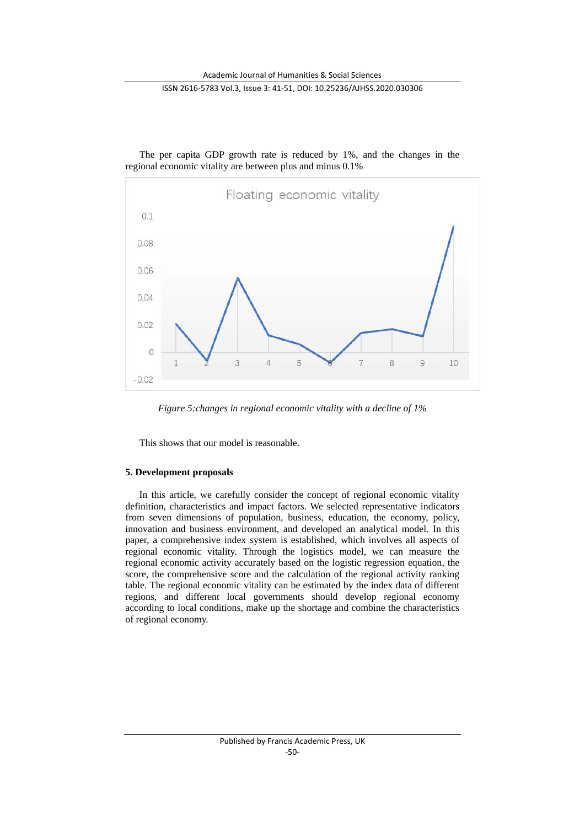

The per capita GDP growth rate is reduced by 1%, and the changes in the regional economic vitality are between plus and minus 0.1%

*Figure 5:changes in regional economic vitality with a decline of 1%*

This shows that our model is reasonable.

## **5. Development proposals**

In this article, we carefully consider the concept of regional economic vitality definition, characteristics and impact factors. We selected representative indicators from seven dimensions of population, business, education, the economy, policy, innovation and business environment, and developed an analytical model. In this paper, a comprehensive index system is established, which involves all aspects of regional economic vitality. Through the logistics model, we can measure the regional economic activity accurately based on the logistic regression equation, the score, the comprehensive score and the calculation of the regional activity ranking table. The regional economic vitality can be estimated by the index data of different regions, and different local governments should develop regional economy according to local conditions, make up the shortage and combine the characteristics of regional economy.